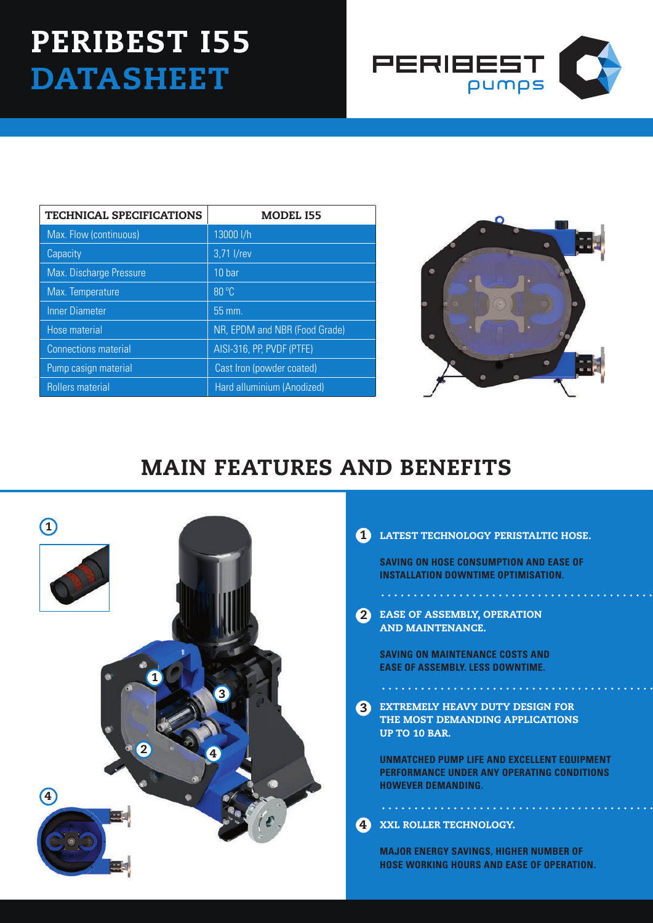# Peribest I55 **DATASHEET**



| <b>TECHNICAL SPECIFICATIONS</b> | <b>MODEL I55</b>              |
|---------------------------------|-------------------------------|
| Max. Flow (continuous)          | 13000 l/h                     |
| Capacity                        | 3,71 l/rev                    |
| Max. Discharge Pressure         | 10 bar                        |
| Max. Temperature                | 80 °C                         |
| <b>Inner Diameter</b>           | 55 mm.                        |
| <b>Hose material</b>            | NR, EPDM and NBR (Food Grade) |
| <b>Connections material</b>     | AISI-316, PP, PVDF (PTFE)     |
| Pump casign material            | Cast Iron (powder coated)     |
| <b>Rollers material</b>         | Hard alluminium (Anodized)    |



## MAIN FEATURES AND BENEFITS



## 1 LATEST TECHNOLOGY PERISTALTIC HOSE.

**SAVING ON HOSE CONSUMPTION AND EASE OF INSTALLATION DOWNTIME OPTIMISATION.**

2 EASE OF ASSEMBLY, OPE AND MAINTENANCE.

. . . . . . . . . . . . . . . . .

**SAVING ON MAINTENANCE COSTS AND EASE OF ASSEMBLY. LESS DOWNTIME.**

EXTREMELY HEAVY DUTY DESIGN FOR THE MOST DEMANDING APPLICATIONS UP TO 10 BAR. 3

. . . . . . . . . . . . . . . . . .

**UNMATCHED PUMP LIFE AND EXCELLENT EQUIPMENT PERFORMANCE UNDER ANY OPERATING CONDITIONS HOWEVER DEMANDING.**

#### XXL ROLLER TECHNOLOGY. 4

. . . . . . . . . . . . . . . . . . . .

**MAJOR ENERGY SAVINGS, HIGHER NUMBER OF HOSE WORKING HOURS AND EASE OF OPERATION.**